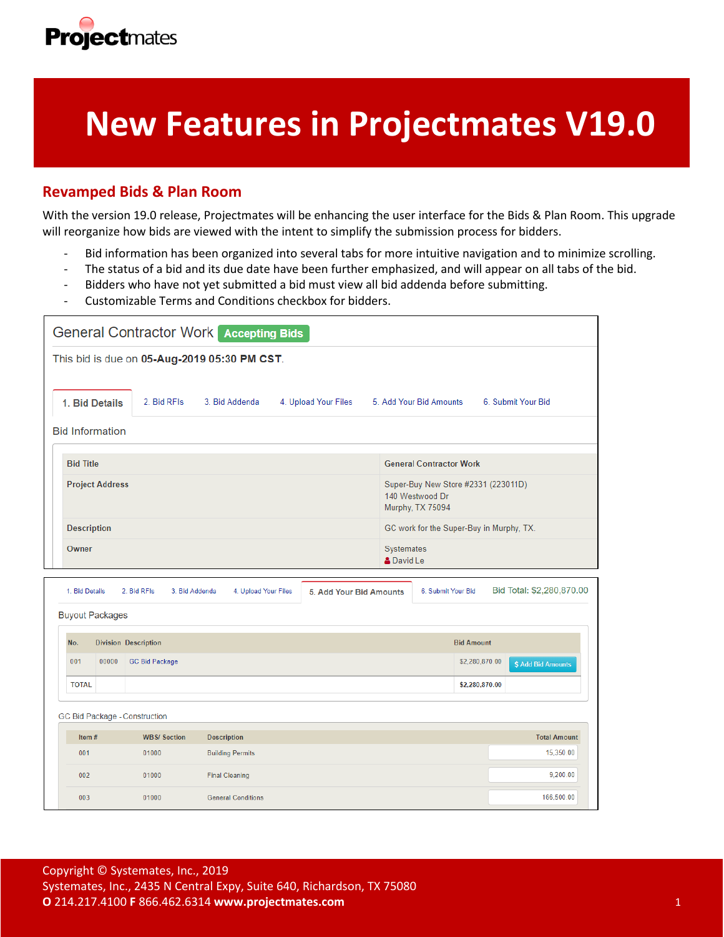

# **New Features in Projectmates V19.0**

### **Revamped Bids & Plan Room**

With the version 19.0 release, Projectmates will be enhancing the user interface for the Bids & Plan Room. This upgrade will reorganize how bids are viewed with the intent to simplify the submission process for bidders.

- Bid information has been organized into several tabs for more intuitive navigation and to minimize scrolling.
- The status of a bid and its due date have been further emphasized, and will appear on all tabs of the bid.
- Bidders who have not yet submitted a bid must view all bid addenda before submitting.
- Customizable Terms and Conditions checkbox for bidders.

| <b>General Contractor Work Accepting Bids</b> |                                              |             |                |                                |                                                                            |                    |  |  |  |
|-----------------------------------------------|----------------------------------------------|-------------|----------------|--------------------------------|----------------------------------------------------------------------------|--------------------|--|--|--|
|                                               | This bid is due on 05-Aug-2019 05:30 PM CST. |             |                |                                |                                                                            |                    |  |  |  |
|                                               | 1. Bid Details                               | 2. Bid RFIs | 3. Bid Addenda | 4. Upload Your Files           | 5. Add Your Bid Amounts                                                    | 6. Submit Your Bid |  |  |  |
| <b>Bid Information</b>                        |                                              |             |                |                                |                                                                            |                    |  |  |  |
|                                               |                                              |             |                |                                |                                                                            |                    |  |  |  |
|                                               | <b>Bid Title</b>                             |             |                | <b>General Contractor Work</b> |                                                                            |                    |  |  |  |
|                                               | <b>Project Address</b>                       |             |                |                                | Super-Buy New Store #2331 (223011D)<br>140 Westwood Dr<br>Murphy, TX 75094 |                    |  |  |  |
|                                               | <b>Description</b>                           |             |                |                                | GC work for the Super-Buy in Murphy, TX.                                   |                    |  |  |  |
|                                               | Owner                                        |             |                |                                | Systemates<br><b>A</b> David Le                                            |                    |  |  |  |
|                                               |                                              |             |                |                                |                                                                            |                    |  |  |  |

| 1. Bid Details |                        | 2. Bid RFIs                   | 3. Bid Addenda     | 4. Upload Your Files      | 5. Add Your Bid Amounts | 6. Submit Your Bid | Bid Total: \$2,280,870.00 |
|----------------|------------------------|-------------------------------|--------------------|---------------------------|-------------------------|--------------------|---------------------------|
|                | <b>Buyout Packages</b> |                               |                    |                           |                         |                    |                           |
| No.            |                        | <b>Division Description</b>   |                    |                           |                         | <b>Bid Amount</b>  |                           |
| 001            | 00000                  | <b>GC Bid Package</b>         |                    |                           |                         | \$2,280,870.00     | \$ Add Bid Amounts        |
| <b>TOTAL</b>   |                        |                               |                    |                           |                         | \$2,280,870.00     |                           |
|                |                        | GC Bid Package - Construction |                    |                           |                         |                    |                           |
| Item#          |                        | <b>WBS/Section</b>            | <b>Description</b> |                           |                         |                    | <b>Total Amount</b>       |
| 001            |                        | 01000                         |                    | <b>Building Permits</b>   |                         |                    | 15,350.00                 |
| 002            |                        | 01000                         |                    | <b>Final Cleaning</b>     |                         |                    | 9,200.00                  |
| 003            |                        | 01000                         |                    | <b>General Conditions</b> |                         |                    | 166,500.00                |